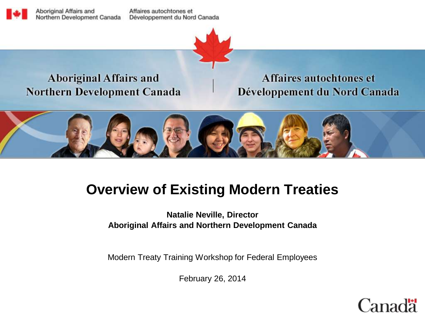Aboriginal Affairs and Northern Development Canada

Affaires autochtones et Développement du Nord Canada



#### **Aboriginal Affairs and Northern Development Canada**

Affaires autochtones et Développement du Nord Canada



# **Overview of Existing Modern Treaties**

**Natalie Neville, Director Aboriginal Affairs and Northern Development Canada** 

Modern Treaty Training Workshop for Federal Employees

February 26, 2014

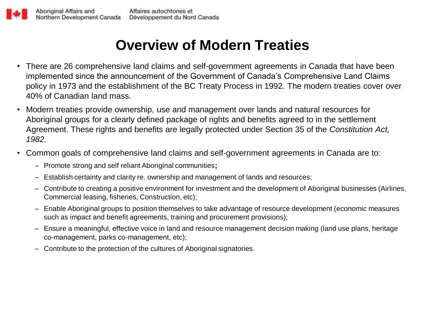# **Overview of Modern Treaties**

- There are 26 comprehensive land claims and self-government agreements in Canada that have been implemented since the announcement of the Government of Canada's Comprehensive Land Claims policy in 1973 and the establishment of the BC Treaty Process in 1992. The modern treaties cover over 40% of Canadian land mass.
- Modern treaties provide ownership, use and management over lands and natural resources for Aboriginal groups for a clearly defined package of rights and benefits agreed to in the settlement Agreement. These rights and benefits are legally protected under Section 35 of the *Constitution Act, 1982.*
- Common goals of comprehensive land claims and self-government agreements in Canada are to:
	- Promote strong and self reliant Aboriginal communities**;**
	- Establish certainty and clarity re. ownership and management of lands and resources;
	- Contribute to creating a positive environment for investment and the development of Aboriginal businesses (Airlines, Commercial leasing, fisheries, Construction, etc);
	- Enable Aboriginal groups to position themselves to take advantage of resource development (economic measures such as impact and benefit agreements, training and procurement provisions);
	- Ensure a meaningful, effective voice in land and resource management decision making (land use plans, heritage co-management, parks co-management, etc);
	- Contribute to the protection of the cultures of Aboriginal signatories.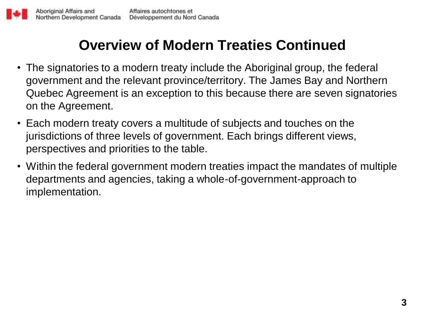## **Overview of Modern Treaties Continued**

- The signatories to a modern treaty include the Aboriginal group, the federal government and the relevant province/territory. The James Bay and Northern Quebec Agreement is an exception to this because there are seven signatories on the Agreement.
- Each modern treaty covers a multitude of subjects and touches on the jurisdictions of three levels of government. Each brings different views, perspectives and priorities to the table.
- Within the federal government modern treaties impact the mandates of multiple departments and agencies, taking a whole-of-government-approach to implementation.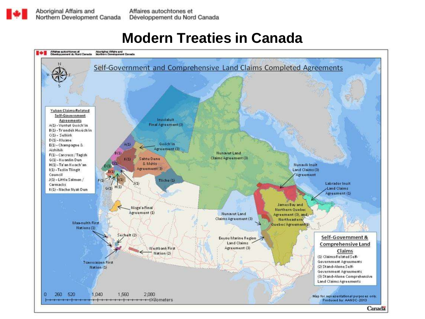### **Modern Treaties in Canada**

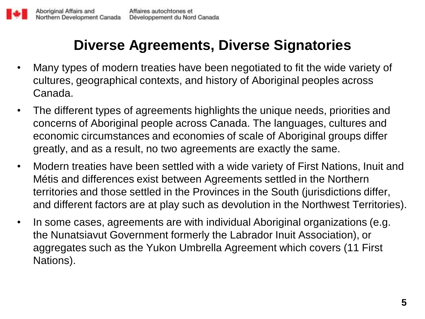### **Diverse Agreements, Diverse Signatories**

- Many types of modern treaties have been negotiated to fit the wide variety of cultures, geographical contexts, and history of Aboriginal peoples across Canada.
- The different types of agreements highlights the unique needs, priorities and concerns of Aboriginal people across Canada. The languages, cultures and economic circumstances and economies of scale of Aboriginal groups differ greatly, and as a result, no two agreements are exactly the same.
- Modern treaties have been settled with a wide variety of First Nations, Inuit and Métis and differences exist between Agreements settled in the Northern territories and those settled in the Provinces in the South (jurisdictions differ, and different factors are at play such as devolution in the Northwest Territories).
- In some cases, agreements are with individual Aboriginal organizations (e.g. the Nunatsiavut Government formerly the Labrador Inuit Association), or aggregates such as the Yukon Umbrella Agreement which covers (11 First Nations).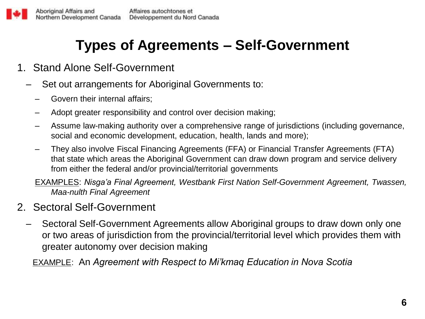### **Types of Agreements – Self-Government**

- 1. Stand Alone Self-Government
	- Set out arrangements for Aboriginal Governments to:
		- Govern their internal affairs;
		- Adopt greater responsibility and control over decision making;
		- Assume law-making authority over a comprehensive range of jurisdictions (including governance, social and economic development, education, health, lands and more);
		- They also involve Fiscal Financing Agreements (FFA) or Financial Transfer Agreements (FTA) that state which areas the Aboriginal Government can draw down program and service delivery from either the federal and/or provincial/territorial governments

EXAMPLES: *Nisga'a Final Agreement, Westbank First Nation Self-Government Agreement, Twassen, Maa-nulth Final Agreement*

#### 2. Sectoral Self-Government

– Sectoral Self-Government Agreements allow Aboriginal groups to draw down only one or two areas of jurisdiction from the provincial/territorial level which provides them with greater autonomy over decision making

EXAMPLE: An *Agreement with Respect to Mi'kmaq Education in Nova Scotia*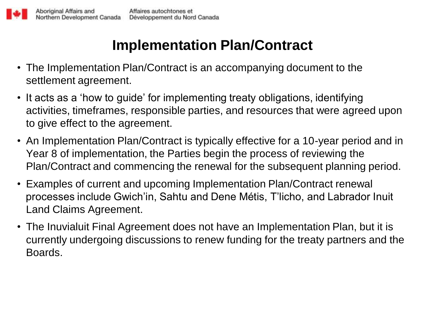# **Implementation Plan/Contract**

- The Implementation Plan/Contract is an accompanying document to the settlement agreement.
- It acts as a 'how to guide' for implementing treaty obligations, identifying activities, timeframes, responsible parties, and resources that were agreed upon to give effect to the agreement.
- An Implementation Plan/Contract is typically effective for a 10-year period and in Year 8 of implementation, the Parties begin the process of reviewing the Plan/Contract and commencing the renewal for the subsequent planning period.
- Examples of current and upcoming Implementation Plan/Contract renewal processes include Gwich'in, Sahtu and Dene Métis, T'licho, and Labrador Inuit Land Claims Agreement.
- The Inuvialuit Final Agreement does not have an Implementation Plan, but it is currently undergoing discussions to renew funding for the treaty partners and the Boards.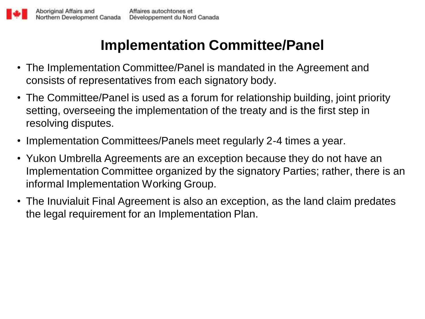# **Implementation Committee/Panel**

- The Implementation Committee/Panel is mandated in the Agreement and consists of representatives from each signatory body.
- The Committee/Panel is used as a forum for relationship building, joint priority setting, overseeing the implementation of the treaty and is the first step in resolving disputes.
- Implementation Committees/Panels meet regularly 2-4 times a year.
- Yukon Umbrella Agreements are an exception because they do not have an Implementation Committee organized by the signatory Parties; rather, there is an informal Implementation Working Group.
- The Inuvialuit Final Agreement is also an exception, as the land claim predates the legal requirement for an Implementation Plan.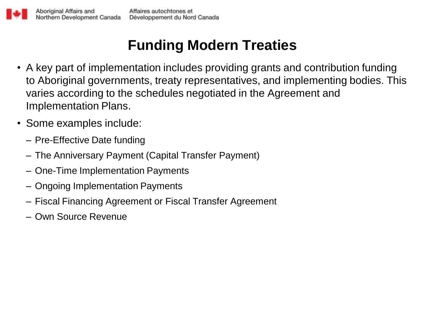# **Funding Modern Treaties**

- A key part of implementation includes providing grants and contribution funding to Aboriginal governments, treaty representatives, and implementing bodies. This varies according to the schedules negotiated in the Agreement and Implementation Plans.
- Some examples include:
	- Pre-Effective Date funding
	- The Anniversary Payment (Capital Transfer Payment)
	- One-Time Implementation Payments
	- Ongoing Implementation Payments
	- Fiscal Financing Agreement or Fiscal Transfer Agreement
	- Own Source Revenue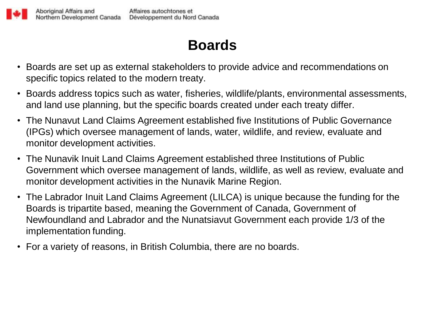

### **Boards**

- Boards are set up as external stakeholders to provide advice and recommendations on specific topics related to the modern treaty.
- Boards address topics such as water, fisheries, wildlife/plants, environmental assessments, and land use planning, but the specific boards created under each treaty differ.
- The Nunavut Land Claims Agreement established five Institutions of Public Governance (IPGs) which oversee management of lands, water, wildlife, and review, evaluate and monitor development activities.
- The Nunavik Inuit Land Claims Agreement established three Institutions of Public Government which oversee management of lands, wildlife, as well as review, evaluate and monitor development activities in the Nunavik Marine Region.
- The Labrador Inuit Land Claims Agreement (LILCA) is unique because the funding for the Boards is tripartite based, meaning the Government of Canada, Government of Newfoundland and Labrador and the Nunatsiavut Government each provide 1/3 of the implementation funding.
- For a variety of reasons, in British Columbia, there are no boards.